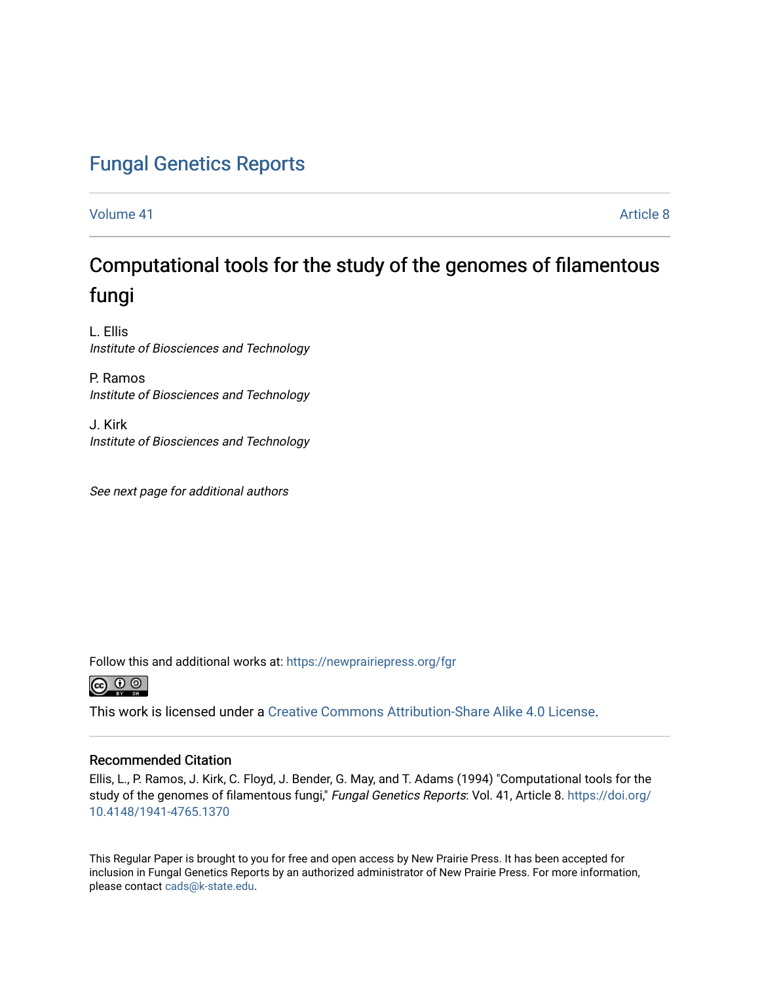## [Fungal Genetics Reports](https://newprairiepress.org/fgr)

[Volume 41](https://newprairiepress.org/fgr/vol41) Article 8

# Computational tools for the study of the genomes of filamentous fungi

L. Ellis Institute of Biosciences and Technology

P. Ramos Institute of Biosciences and Technology

J. Kirk Institute of Biosciences and Technology

See next page for additional authors

Follow this and additional works at: [https://newprairiepress.org/fgr](https://newprairiepress.org/fgr?utm_source=newprairiepress.org%2Ffgr%2Fvol41%2Fiss1%2F8&utm_medium=PDF&utm_campaign=PDFCoverPages) 



This work is licensed under a [Creative Commons Attribution-Share Alike 4.0 License.](https://creativecommons.org/licenses/by-sa/4.0/)

#### Recommended Citation

Ellis, L., P. Ramos, J. Kirk, C. Floyd, J. Bender, G. May, and T. Adams (1994) "Computational tools for the study of the genomes of filamentous fungi," Fungal Genetics Reports: Vol. 41, Article 8. [https://doi.org/](https://doi.org/10.4148/1941-4765.1370) [10.4148/1941-4765.1370](https://doi.org/10.4148/1941-4765.1370)

This Regular Paper is brought to you for free and open access by New Prairie Press. It has been accepted for inclusion in Fungal Genetics Reports by an authorized administrator of New Prairie Press. For more information, please contact [cads@k-state.edu.](mailto:cads@k-state.edu)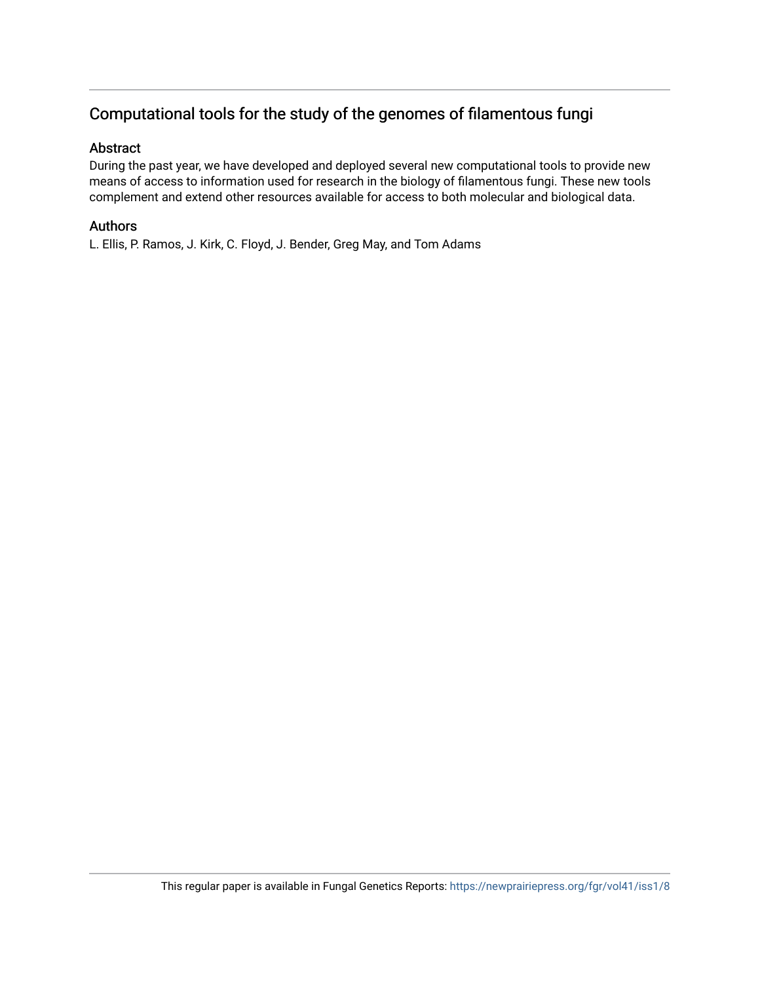### Computational tools for the study of the genomes of filamentous fungi

#### Abstract

During the past year, we have developed and deployed several new computational tools to provide new means of access to information used for research in the biology of filamentous fungi. These new tools complement and extend other resources available for access to both molecular and biological data.

#### Authors

L. Ellis, P. Ramos, J. Kirk, C. Floyd, J. Bender, Greg May, and Tom Adams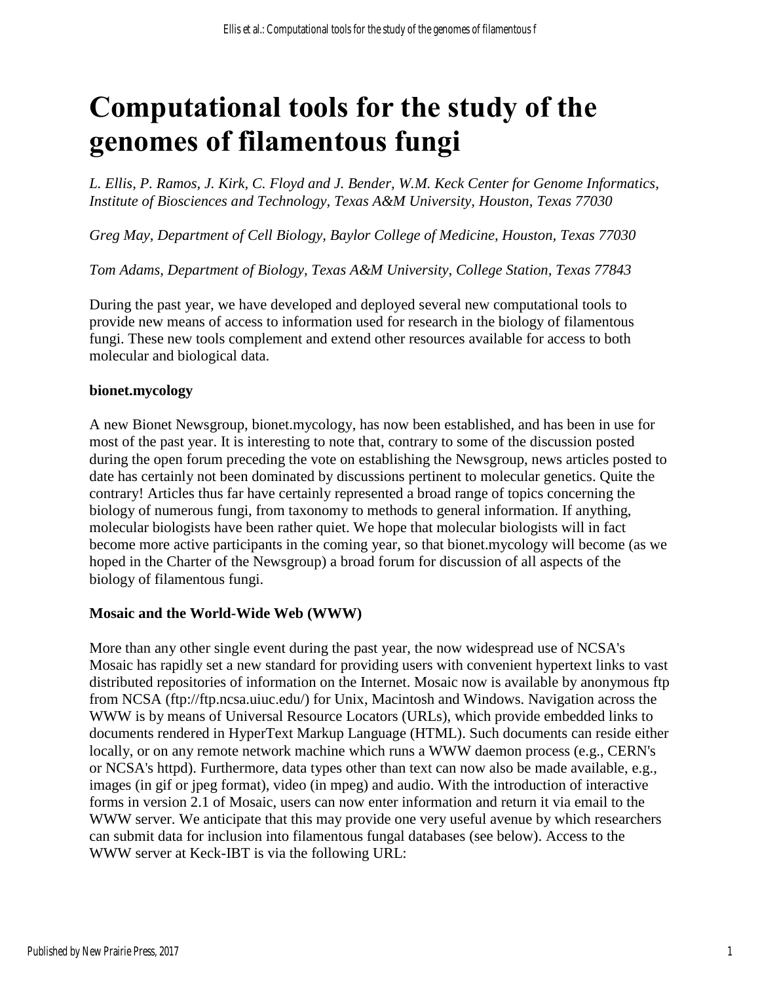# **Computational tools for the study of the genomes of filamentous fungi**

*L. Ellis, P. Ramos, J. Kirk, C. Floyd and J. Bender, W.M. Keck Center for Genome Informatics, Institute of Biosciences and Technology, Texas A&M University, Houston, Texas 77030*

*Greg May, Department of Cell Biology, Baylor College of Medicine, Houston, Texas 77030*

*Tom Adams, Department of Biology, Texas A&M University, College Station, Texas 77843*

During the past year, we have developed and deployed several new computational tools to provide new means of access to information used for research in the biology of filamentous fungi. These new tools complement and extend other resources available for access to both molecular and biological data.

#### **bionet.mycology**

A new Bionet Newsgroup, bionet.mycology, has now been established, and has been in use for most of the past year. It is interesting to note that, contrary to some of the discussion posted during the open forum preceding the vote on establishing the Newsgroup, news articles posted to date has certainly not been dominated by discussions pertinent to molecular genetics. Quite the contrary! Articles thus far have certainly represented a broad range of topics concerning the biology of numerous fungi, from taxonomy to methods to general information. If anything, molecular biologists have been rather quiet. We hope that molecular biologists will in fact become more active participants in the coming year, so that bionet.mycology will become (as we hoped in the Charter of the Newsgroup) a broad forum for discussion of all aspects of the biology of filamentous fungi.

#### **Mosaic and the World-Wide Web (WWW)**

More than any other single event during the past year, the now widespread use of NCSA's Mosaic has rapidly set a new standard for providing users with convenient hypertext links to vast distributed repositories of information on the Internet. Mosaic now is available by anonymous ftp from NCSA (ftp://ftp.ncsa.uiuc.edu/) for Unix, Macintosh and Windows. Navigation across the WWW is by means of Universal Resource Locators (URLs), which provide embedded links to documents rendered in HyperText Markup Language (HTML). Such documents can reside either locally, or on any remote network machine which runs a WWW daemon process (e.g., CERN's or NCSA's httpd). Furthermore, data types other than text can now also be made available, e.g., images (in gif or jpeg format), video (in mpeg) and audio. With the introduction of interactive forms in version 2.1 of Mosaic, users can now enter information and return it via email to the WWW server. We anticipate that this may provide one very useful avenue by which researchers can submit data for inclusion into filamentous fungal databases (see below). Access to the WWW server at Keck-IBT is via the following URL: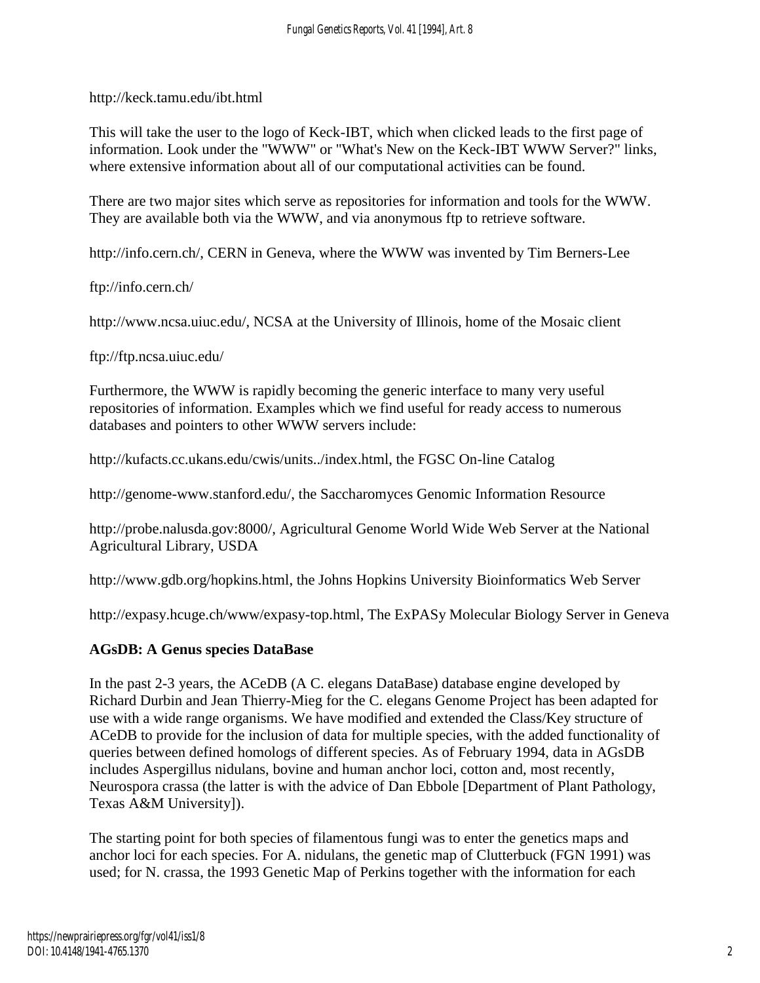http://keck.tamu.edu/ibt.html

This will take the user to the logo of Keck-IBT, which when clicked leads to the first page of information. Look under the "WWW" or "What's New on the Keck-IBT WWW Server?" links, where extensive information about all of our computational activities can be found.

There are two major sites which serve as repositories for information and tools for the WWW. They are available both via the WWW, and via anonymous ftp to retrieve software.

http://info.cern.ch/, CERN in Geneva, where the WWW was invented by Tim Berners-Lee

ftp://info.cern.ch/

http://www.ncsa.uiuc.edu/, NCSA at the University of Illinois, home of the Mosaic client

ftp://ftp.ncsa.uiuc.edu/

Furthermore, the WWW is rapidly becoming the generic interface to many very useful repositories of information. Examples which we find useful for ready access to numerous databases and pointers to other WWW servers include:

http://kufacts.cc.ukans.edu/cwis/units../index.html, the FGSC On-line Catalog

http://genome-www.stanford.edu/, the Saccharomyces Genomic Information Resource

http://probe.nalusda.gov:8000/, Agricultural Genome World Wide Web Server at the National Agricultural Library, USDA

http://www.gdb.org/hopkins.html, the Johns Hopkins University Bioinformatics Web Server

http://expasy.hcuge.ch/www/expasy-top.html, The ExPASy Molecular Biology Server in Geneva

#### **AGsDB: A Genus species DataBase**

In the past 2-3 years, the ACeDB (A C. elegans DataBase) database engine developed by Richard Durbin and Jean Thierry-Mieg for the C. elegans Genome Project has been adapted for use with a wide range organisms. We have modified and extended the Class/Key structure of ACeDB to provide for the inclusion of data for multiple species, with the added functionality of queries between defined homologs of different species. As of February 1994, data in AGsDB includes Aspergillus nidulans, bovine and human anchor loci, cotton and, most recently, Neurospora crassa (the latter is with the advice of Dan Ebbole [Department of Plant Pathology, Texas A&M University]).

The starting point for both species of filamentous fungi was to enter the genetics maps and anchor loci for each species. For A. nidulans, the genetic map of Clutterbuck (FGN 1991) was used; for N. crassa, the 1993 Genetic Map of Perkins together with the information for each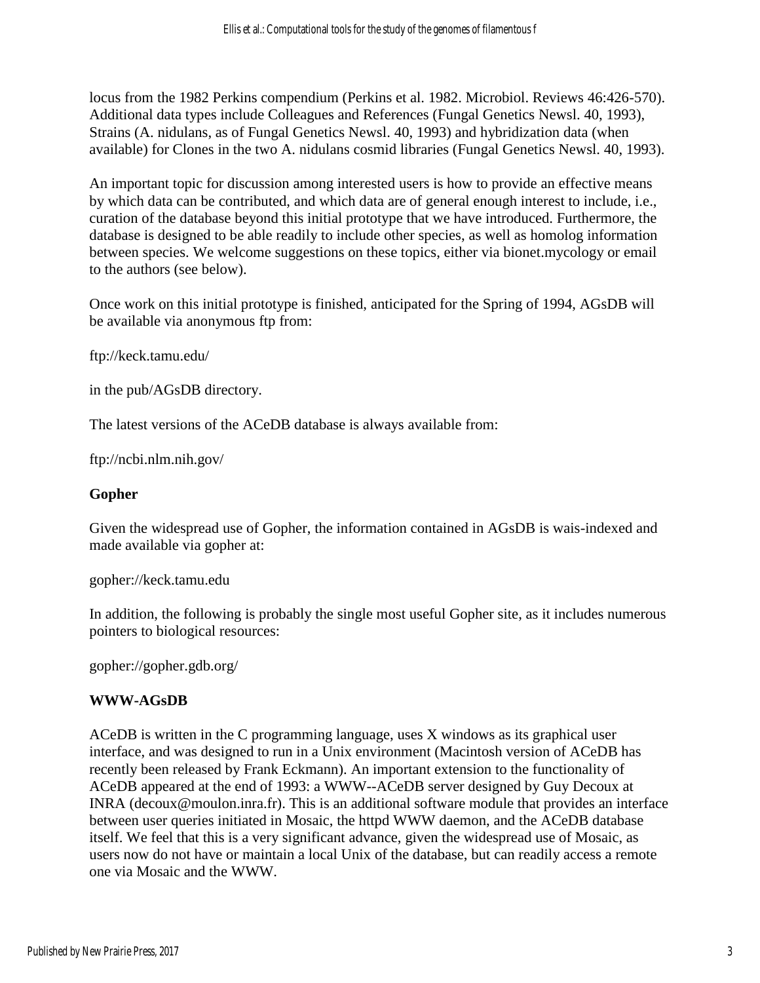locus from the 1982 Perkins compendium (Perkins et al. 1982. Microbiol. Reviews 46:426-570). Additional data types include Colleagues and References (Fungal Genetics Newsl. 40, 1993), Strains (A. nidulans, as of Fungal Genetics Newsl. 40, 1993) and hybridization data (when available) for Clones in the two A. nidulans cosmid libraries (Fungal Genetics Newsl. 40, 1993).

An important topic for discussion among interested users is how to provide an effective means by which data can be contributed, and which data are of general enough interest to include, i.e., curation of the database beyond this initial prototype that we have introduced. Furthermore, the database is designed to be able readily to include other species, as well as homolog information between species. We welcome suggestions on these topics, either via bionet.mycology or email to the authors (see below).

Once work on this initial prototype is finished, anticipated for the Spring of 1994, AGsDB will be available via anonymous ftp from:

ftp://keck.tamu.edu/

in the pub/AGsDB directory.

The latest versions of the ACeDB database is always available from:

ftp://ncbi.nlm.nih.gov/

#### **Gopher**

Given the widespread use of Gopher, the information contained in AGsDB is wais-indexed and made available via gopher at:

gopher://keck.tamu.edu

In addition, the following is probably the single most useful Gopher site, as it includes numerous pointers to biological resources:

gopher://gopher.gdb.org/

#### **WWW-AGsDB**

ACeDB is written in the C programming language, uses X windows as its graphical user interface, and was designed to run in a Unix environment (Macintosh version of ACeDB has recently been released by Frank Eckmann). An important extension to the functionality of ACeDB appeared at the end of 1993: a WWW--ACeDB server designed by Guy Decoux at INRA (decoux@moulon.inra.fr). This is an additional software module that provides an interface between user queries initiated in Mosaic, the httpd WWW daemon, and the ACeDB database itself. We feel that this is a very significant advance, given the widespread use of Mosaic, as users now do not have or maintain a local Unix of the database, but can readily access a remote one via Mosaic and the WWW.